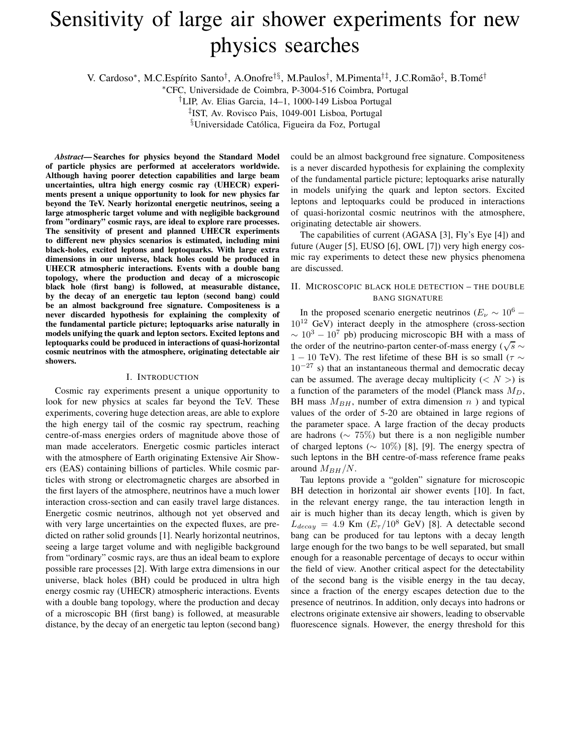# Sensitivity of large air shower experiments for new physics searches

V. Cardoso\*, M.C.Espírito Santo<sup>†</sup>, A.Onofre<sup>†§</sup>, M.Paulos<sup>†</sup>, M.Pimenta<sup>†‡</sup>, J.C.Romão<sup>‡</sup>, B.Tomé<sup>†</sup>

<sup>∗</sup>CFC, Universidade de Coimbra, P-3004-516 Coimbra, Portugal

†LIP, Av. Elias Garcia, 14–1, 1000-149 Lisboa Portugal

‡ IST, Av. Rovisco Pais, 1049-001 Lisboa, Portugal

<sup>§</sup>Universidade Católica, Figueira da Foz, Portugal

*Abstract***— Searches for physics beyond the Standard Model of particle physics are performed at accelerators worldwide. Although having poorer detection capabilities and large beam uncertainties, ultra high energy cosmic ray (UHECR) experiments present a unique opportunity to look for new physics far beyond the TeV. Nearly horizontal energetic neutrinos, seeing a large atmospheric target volume and with negligible background from "ordinary" cosmic rays, are ideal to explore rare processes. The sensitivity of present and planned UHECR experiments to different new physics scenarios is estimated, including mini black-holes, excited leptons and leptoquarks. With large extra dimensions in our universe, black holes could be produced in UHECR atmospheric interactions. Events with a double bang topology, where the production and decay of a microscopic black hole (first bang) is followed, at measurable distance, by the decay of an energetic tau lepton (second bang) could be an almost background free signature. Compositeness is a never discarded hypothesis for explaining the complexity of the fundamental particle picture; leptoquarks arise naturally in models unifying the quark and lepton sectors. Excited leptons and leptoquarks could be produced in interactions of quasi-horizontal cosmic neutrinos with the atmosphere, originating detectable air showers.**

#### I. INTRODUCTION

Cosmic ray experiments present a unique opportunity to look for new physics at scales far beyond the TeV. These experiments, covering huge detection areas, are able to explore the high energy tail of the cosmic ray spectrum, reaching centre-of-mass energies orders of magnitude above those of man made accelerators. Energetic cosmic particles interact with the atmosphere of Earth originating Extensive Air Showers (EAS) containing billions of particles. While cosmic particles with strong or electromagnetic charges are absorbed in the first layers of the atmosphere, neutrinos have a much lower interaction cross-section and can easily travel large distances. Energetic cosmic neutrinos, although not yet observed and with very large uncertainties on the expected fluxes, are predicted on rather solid grounds [1]. Nearly horizontal neutrinos, seeing a large target volume and with negligible background from "ordinary" cosmic rays, are thus an ideal beam to explore possible rare processes [2]. With large extra dimensions in our universe, black holes (BH) could be produced in ultra high energy cosmic ray (UHECR) atmospheric interactions. Events with a double bang topology, where the production and decay of a microscopic BH (first bang) is followed, at measurable distance, by the decay of an energetic tau lepton (second bang) could be an almost background free signature. Compositeness is a never discarded hypothesis for explaining the complexity of the fundamental particle picture; leptoquarks arise naturally in models unifying the quark and lepton sectors. Excited leptons and leptoquarks could be produced in interactions of quasi-horizontal cosmic neutrinos with the atmosphere, originating detectable air showers.

The capabilities of current (AGASA [3], Fly's Eye [4]) and future (Auger [5], EUSO [6], OWL [7]) very high energy cosmic ray experiments to detect these new physics phenomena are discussed.

## II. MICROSCOPIC BLACK HOLE DETECTION – THE DOUBLE BANG SIGNATURE

In the proposed scenario energetic neutrinos ( $E_{\nu} \sim 10^6$  –  $10^{12}$  GeV) interact deeply in the atmosphere (cross-section  $\sim 10^3 - 10^7$  pb) producing microscopic BH with a mass of the order of the neutrino-parton center-of-mass energy ( $\sqrt{s} \sim$ 1 − 10 TeV). The rest lifetime of these BH is so small ( $\tau \sim$  $10^{-27}$  s) that an instantaneous thermal and democratic decay can be assumed. The average decay multiplicity  $( $N >$ ) is$ a function of the parameters of the model (Planck mass  $M_D$ , BH mass  $M_{BH}$ , number of extra dimension n ) and typical values of the order of 5-20 are obtained in large regions of the parameter space. A large fraction of the decay products are hadrons ( $\sim 75\%$ ) but there is a non negligible number of charged leptons ( $\sim 10\%$ ) [8], [9]. The energy spectra of such leptons in the BH centre-of-mass reference frame peaks around  $M_{BH}/N$ .

Tau leptons provide a "golden" signature for microscopic BH detection in horizontal air shower events [10]. In fact, in the relevant energy range, the tau interaction length in air is much higher than its decay length, which is given by  $L_{decay} = 4.9$  Km  $(E_{\tau}/10^8$  GeV) [8]. A detectable second bang can be produced for tau leptons with a decay length large enough for the two bangs to be well separated, but small enough for a reasonable percentage of decays to occur within the field of view. Another critical aspect for the detectability of the second bang is the visible energy in the tau decay, since a fraction of the energy escapes detection due to the presence of neutrinos. In addition, only decays into hadrons or electrons originate extensive air showers, leading to observable fluorescence signals. However, the energy threshold for this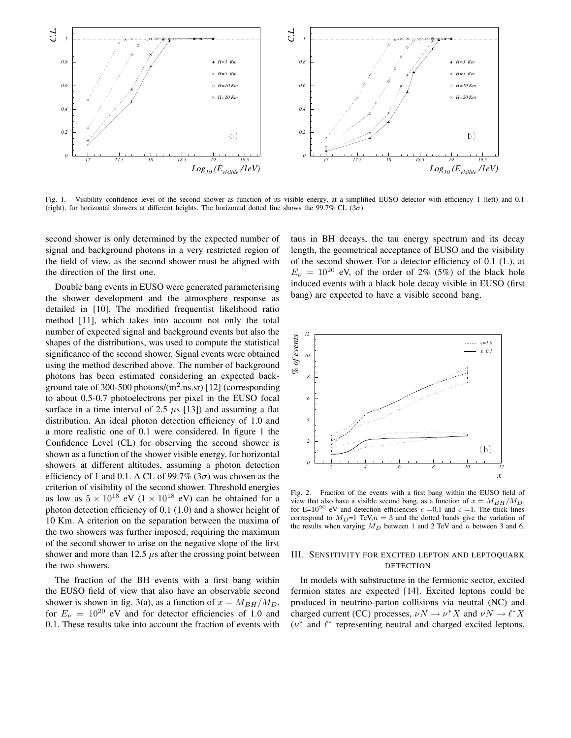

Fig. 1. Visibility confidence level of the second shower as function of its visible energy, at a simplified EUSO detector with efficiency 1 (left) and 0.1 (right), for horizontal showers at different heights. The horizontal dotted line shows the 99.7% CL (3 $\sigma$ ).

second shower is only determined by the expected number of signal and background photons in a very restricted region of the field of view, as the second shower must be aligned with the direction of the first one.

Double bang events in EUSO were generated parameterising the shower development and the atmosphere response as detailed in [10]. The modified frequentist likelihood ratio method [11], which takes into account not only the total number of expected signal and background events but also the shapes of the distributions, was used to compute the statistical significance of the second shower. Signal events were obtained using the method described above. The number of background photons has been estimated considering an expected background rate of 300-500 photons/ $(m^2 \text{.ns.sr})$  [12] (corresponding to about 0.5-0.7 photoelectrons per pixel in the EUSO focal surface in a time interval of 2.5  $\mu$ s [13]) and assuming a flat distribution. An ideal photon detection efficiency of 1.0 and a more realistic one of 0.1 were considered. In figure 1 the Confidence Level (CL) for observing the second shower is shown as a function of the shower visible energy, for horizontal showers at different altitudes, assuming a photon detection efficiency of 1 and 0.1. A CL of 99.7% ( $3\sigma$ ) was chosen as the criterion of visibility of the second shower. Threshold energies as low as  $5 \times 10^{18}$  eV  $(1 \times 10^{18}$  eV) can be obtained for a photon detection efficiency of 0.1 (1.0) and a shower height of 10 Km. A criterion on the separation between the maxima of the two showers was further imposed, requiring the maximum of the second shower to arise on the negative slope of the first shower and more than 12.5  $\mu$ s after the crossing point between the two showers.

The fraction of the BH events with a first bang within the EUSO field of view that also have an observable second shower is shown in fig. 3(a), as a function of  $x = M_{BH}/M_D$ , for  $E<sub>\nu</sub> = 10^{20}$  eV and for detector efficiencies of 1.0 and 0.1. These results take into account the fraction of events with taus in BH decays, the tau energy spectrum and its decay length, the geometrical acceptance of EUSO and the visibility of the second shower. For a detector efficiency of 0.1 (1.), at  $E<sub>\nu</sub> = 10^{20}$  eV, of the order of 2% (5%) of the black hole induced events with a black hole decay visible in EUSO (first bang) are expected to have a visible second bang.



Fig. 2. Fraction of the events with a first bang within the EUSO field of view that also have a visible second bang, as a function of  $x = M_{BH}/M_D$ , for E=10<sup>20</sup> eV and detection efficiencies  $\epsilon$  =0.1 and  $\epsilon$  =1. The thick lines correspond to  $M_D=1$  TeV, $n=3$  and the dotted bands give the variation of the results when varying  $M_D$  between 1 and 2 TeV and n between 3 and 6.

## III. SENSITIVITY FOR EXCITED LEPTON AND LEPTOQUARK DETECTION

In models with substructure in the fermionic sector, excited fermion states are expected [14]. Excited leptons could be produced in neutrino-parton collisions via neutral (NC) and charged current (CC) processes,  $\nu N \to \nu^* X$  and  $\nu N \to \ell^* X$  $(\nu^*$  and  $\ell^*$  representing neutral and charged excited leptons,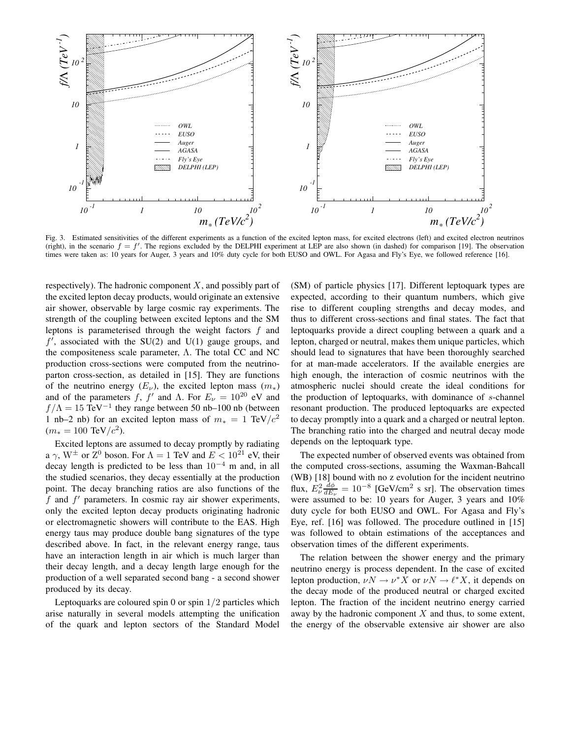

Fig. 3. Estimated sensitivities of the different experiments as a function of the excited lepton mass, for excited electrons (left) and excited electron neutrinos (right), in the scenario  $f = f'$ . The regions excluded by the DELPHI experiment at LEP are also shown (in dashed) for comparison [19]. The observation times were taken as: 10 years for Auger, 3 years and 10% duty cycle for both EUSO and OWL. For Agasa and Fly's Eye, we followed reference [16].

respectively). The hadronic component  $X$ , and possibly part of the excited lepton decay products, would originate an extensive air shower, observable by large cosmic ray experiments. The strength of the coupling between excited leptons and the SM leptons is parameterised through the weight factors  $f$  and  $f'$ , associated with the SU(2) and U(1) gauge groups, and the compositeness scale parameter, Λ. The total CC and NC production cross-sections were computed from the neutrinoparton cross-section, as detailed in [15]. They are functions of the neutrino energy  $(E_{\nu})$ , the excited lepton mass  $(m_*)$ and of the parameters f, f' and  $\Lambda$ . For  $E_{\nu} = 10^{20}$  eV and  $f/\Lambda = 15$  TeV<sup>-1</sup> they range between 50 nb-100 nb (between 1 nb–2 nb) for an excited lepton mass of  $m<sub>∗</sub> = 1$  TeV/ $c<sup>2</sup>$  $(m_* = 100 \text{ TeV}/c^2).$ 

Excited leptons are assumed to decay promptly by radiating a  $\gamma$ , W<sup> $\pm$ </sup> or  $Z^0$  boson. For  $\Lambda = 1$  TeV and  $E < 10^{21}$  eV, their decay length is predicted to be less than  $10^{-4}$  m and, in all the studied scenarios, they decay essentially at the production point. The decay branching ratios are also functions of the  $f$  and  $f'$  parameters. In cosmic ray air shower experiments, only the excited lepton decay products originating hadronic or electromagnetic showers will contribute to the EAS. High energy taus may produce double bang signatures of the type described above. In fact, in the relevant energy range, taus have an interaction length in air which is much larger than their decay length, and a decay length large enough for the production of a well separated second bang - a second shower produced by its decay.

Leptoquarks are coloured spin 0 or spin  $1/2$  particles which arise naturally in several models attempting the unification of the quark and lepton sectors of the Standard Model

(SM) of particle physics [17]. Different leptoquark types are expected, according to their quantum numbers, which give rise to different coupling strengths and decay modes, and thus to different cross-sections and final states. The fact that leptoquarks provide a direct coupling between a quark and a lepton, charged or neutral, makes them unique particles, which should lead to signatures that have been thoroughly searched for at man-made accelerators. If the available energies are high enough, the interaction of cosmic neutrinos with the atmospheric nuclei should create the ideal conditions for the production of leptoquarks, with dominance of s-channel resonant production. The produced leptoquarks are expected to decay promptly into a quark and a charged or neutral lepton. The branching ratio into the charged and neutral decay mode depends on the leptoquark type.

The expected number of observed events was obtained from the computed cross-sections, assuming the Waxman-Bahcall (WB) [18] bound with no z evolution for the incident neutrino flux,  $E_{\nu}^2 \frac{d\phi}{dE_{\nu}} = 10^{-8}$  [GeV/cm<sup>2</sup> s sr]. The observation times were assumed to be: 10 years for Auger, 3 years and 10% duty cycle for both EUSO and OWL. For Agasa and Fly's Eye, ref. [16] was followed. The procedure outlined in [15] was followed to obtain estimations of the acceptances and observation times of the different experiments.

The relation between the shower energy and the primary neutrino energy is process dependent. In the case of excited lepton production,  $\nu N \to \nu^* \hat{X}$  or  $\nu N \to \ell^* X$ , it depends on the decay mode of the produced neutral or charged excited lepton. The fraction of the incident neutrino energy carried away by the hadronic component  $X$  and thus, to some extent, the energy of the observable extensive air shower are also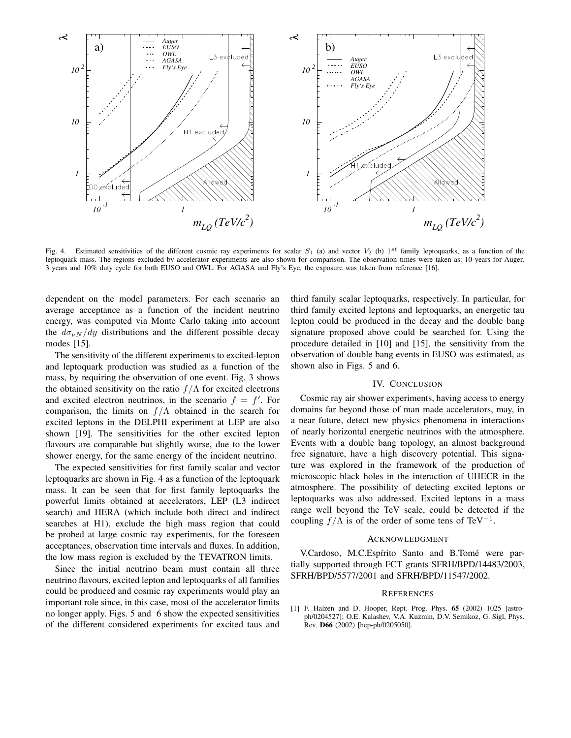

Fig. 4. Estimated sensitivities of the different cosmic ray experiments for scalar  $S_1$  (a) and vector  $V_2$  (b)  $1^{st}$  family leptoquarks, as a function of the leptoquark mass. The regions excluded by accelerator experiments are also shown for comparison. The observation times were taken as: 10 years for Auger, 3 years and 10% duty cycle for both EUSO and OWL. For AGASA and Fly's Eye, the exposure was taken from reference [16].

dependent on the model parameters. For each scenario an average acceptance as a function of the incident neutrino energy, was computed via Monte Carlo taking into account the  $d\sigma_{\nu N}/dy$  distributions and the different possible decay modes [15].

The sensitivity of the different experiments to excited-lepton and leptoquark production was studied as a function of the mass, by requiring the observation of one event. Fig. 3 shows the obtained sensitivity on the ratio  $f/\Lambda$  for excited electrons and excited electron neutrinos, in the scenario  $f = f'$ . For comparison, the limits on  $f/\Lambda$  obtained in the search for excited leptons in the DELPHI experiment at LEP are also shown [19]. The sensitivities for the other excited lepton flavours are comparable but slightly worse, due to the lower shower energy, for the same energy of the incident neutrino.

The expected sensitivities for first family scalar and vector leptoquarks are shown in Fig. 4 as a function of the leptoquark mass. It can be seen that for first family leptoquarks the powerful limits obtained at accelerators, LEP (L3 indirect search) and HERA (which include both direct and indirect searches at H1), exclude the high mass region that could be probed at large cosmic ray experiments, for the foreseen acceptances, observation time intervals and fluxes. In addition, the low mass region is excluded by the TEVATRON limits.

Since the initial neutrino beam must contain all three neutrino flavours, excited lepton and leptoquarks of all families could be produced and cosmic ray experiments would play an important role since, in this case, most of the accelerator limits no longer apply. Figs. 5 and 6 show the expected sensitivities of the different considered experiments for excited taus and

third family scalar leptoquarks, respectively. In particular, for third family excited leptons and leptoquarks, an energetic tau lepton could be produced in the decay and the double bang signature proposed above could be searched for. Using the procedure detailed in [10] and [15], the sensitivity from the observation of double bang events in EUSO was estimated, as shown also in Figs. 5 and 6.

#### IV. CONCLUSION

Cosmic ray air shower experiments, having access to energy domains far beyond those of man made accelerators, may, in a near future, detect new physics phenomena in interactions of nearly horizontal energetic neutrinos with the atmosphere. Events with a double bang topology, an almost background free signature, have a high discovery potential. This signature was explored in the framework of the production of microscopic black holes in the interaction of UHECR in the atmosphere. The possibility of detecting excited leptons or leptoquarks was also addressed. Excited leptons in a mass range well beyond the TeV scale, could be detected if the coupling  $f/\Lambda$  is of the order of some tens of TeV<sup>-1</sup>.

## ACKNOWLEDGMENT

V.Cardoso, M.C.Espírito Santo and B.Tomé were partially supported through FCT grants SFRH/BPD/14483/2003, SFRH/BPD/5577/2001 and SFRH/BPD/11547/2002.

#### **REFERENCES**

[1] F. Halzen and D. Hooper, Rept. Prog. Phys. **65** (2002) 1025 [astroph/0204527]; O.E. Kalashev, V.A. Kuzmin, D.V. Semikoz, G. Sigl, Phys. Rev. **D66** (2002) [hep-ph/0205050].